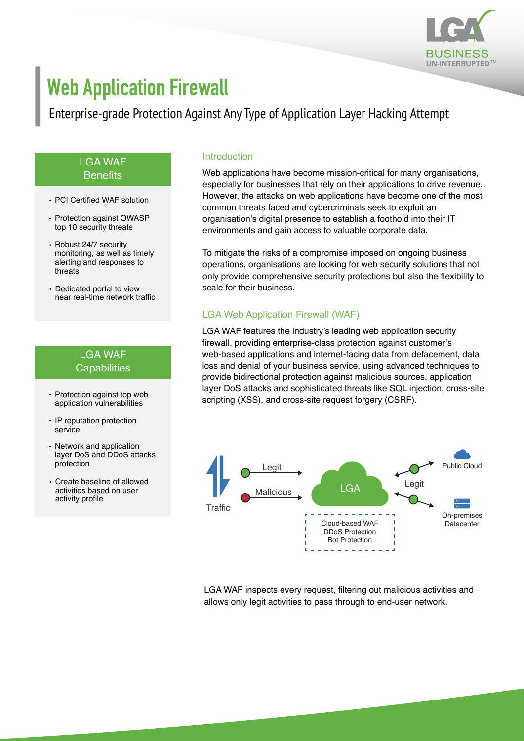

# **Web Application Firewall**

# Enterprise-grade Protection Against Any Type of Application Layer Hacking Attempt

#### LGA WAF **Benefits**

- PCI Certified WAF solution
- Protection against OWASP top 10 security threats
- Robust 24/7 security monitoring, as well as timely alerting and responses to threats
- Dedicated portal to view near real-time network traffic

## LGA WAF Capabilities

- application vulnerabilities
- IP reputation protection service
- Network and application layer DoS and DDoS attacks protection
- Create baseline of allowed activities based on user activity profile

#### Introduction

Web applications have become mission-critical for many organisations, especially for businesses that rely on their applications to drive revenue. However, the attacks on web applications have become one of the most common threats faced and cybercriminals seek to exploit an organisation's digital presence to establish a foothold into their IT environments and gain access to valuable corporate data.

To mitigate the risks of a compromise imposed on ongoing business operations, organisations are looking for web security solutions that not only provide comprehensive security protections but also the flexibility to scale for their business.

### LGA Web Application Firewall (WAF)

LGA WAF features the industry's leading web application security firewall, providing enterprise-class protection against customer's web-based applications and internet-facing data from defacement, data loss and denial of your business service, using advanced techniques to provide bidirectional protection against malicious sources, application layer DoS attacks and sophisticated threats like SQL injection, cross-site Protection against top web<br>scripting (XSS), and cross-site request forgery (CSRF).



LGA WAF inspects every request, filtering out malicious activities and allows only legit activities to pass through to end-user network.